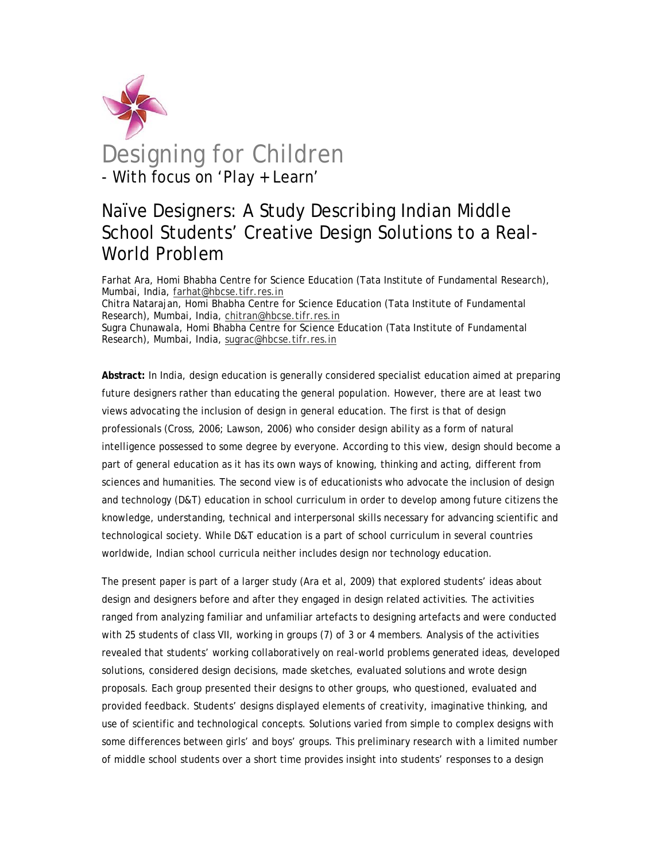

# Designing for Children - With focus on 'Play + Learn'

## Naïve Designers: A Study Describing Indian Middle School Students' Creative Design Solutions to a Real-World Problem

Farhat Ara, Homi Bhabha Centre for Science Education (Tata Institute of Fundamental Research), Mumbai, India, farhat@hbcse.tifr.res.in Chitra Natarajan, Homi Bhabha Centre for Science Education (Tata Institute of Fundamental Research), Mumbai, India, chitran@hbcse.tifr.res.in Sugra Chunawala, Homi Bhabha Centre for Science Education (Tata Institute of Fundamental Research), Mumbai, India, sugrac@hbcse.tifr.res.in

**Abstract:** In India, design education is generally considered specialist education aimed at preparing future designers rather than educating the general population. However, there are at least two views advocating the inclusion of design in general education. The first is that of design professionals (Cross, 2006; Lawson, 2006) who consider design ability as a form of natural intelligence possessed to some degree by everyone. According to this view, design should become a part of general education as it has its own ways of knowing, thinking and acting, different from sciences and humanities. The second view is of educationists who advocate the inclusion of design and technology (D&T) education in school curriculum in order to develop among future citizens the knowledge, understanding, technical and interpersonal skills necessary for advancing scientific and technological society. While D&T education is a part of school curriculum in several countries worldwide, Indian school curricula neither includes design nor technology education.

The present paper is part of a larger study (Ara et al, 2009) that explored students' ideas about design and designers before and after they engaged in design related activities. The activities ranged from analyzing familiar and unfamiliar artefacts to designing artefacts and were conducted with 25 students of class VII, working in groups (7) of 3 or 4 members. Analysis of the activities revealed that students' working collaboratively on real-world problems generated ideas, developed solutions, considered design decisions, made sketches, evaluated solutions and wrote design proposals. Each group presented their designs to other groups, who questioned, evaluated and provided feedback. Students' designs displayed elements of creativity, imaginative thinking, and use of scientific and technological concepts. Solutions varied from simple to complex designs with some differences between girls' and boys' groups. This preliminary research with a limited number of middle school students over a short time provides insight into students' responses to a design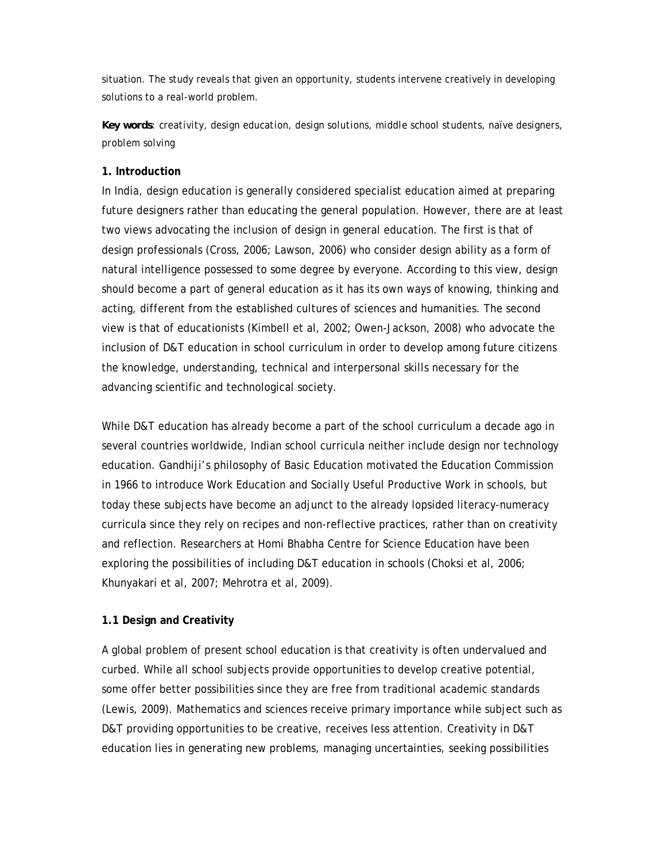situation. The study reveals that given an opportunity, students intervene creatively in developing solutions to a real-world problem.

*Key words: creativity, design education, design solutions, middle school students, naïve designers, problem solving*

#### **1. Introduction**

In India, design education is generally considered specialist education aimed at preparing future designers rather than educating the general population. However, there are at least two views advocating the inclusion of design in general education. The first is that of design professionals (Cross, 2006; Lawson, 2006) who consider design ability as a form of natural intelligence possessed to some degree by everyone. According to this view, design should become a part of general education as it has its own ways of knowing, thinking and acting, different from the established cultures of sciences and humanities. The second view is that of educationists (Kimbell et al, 2002; Owen-Jackson, 2008) who advocate the inclusion of D&T education in school curriculum in order to develop among future citizens the knowledge, understanding, technical and interpersonal skills necessary for the advancing scientific and technological society.

While D&T education has already become a part of the school curriculum a decade ago in several countries worldwide, Indian school curricula neither include design nor technology education. Gandhiji's philosophy of Basic Education motivated the Education Commission in 1966 to introduce Work Education and Socially Useful Productive Work in schools, but today these subjects have become an adjunct to the already lopsided literacy-numeracy curricula since they rely on recipes and non-reflective practices, rather than on creativity and reflection. Researchers at Homi Bhabha Centre for Science Education have been exploring the possibilities of including D&T education in schools (Choksi et al, 2006; Khunyakari et al, 2007; Mehrotra et al, 2009).

#### **1.1 Design and Creativity**

A global problem of present school education is that creativity is often undervalued and curbed. While all school subjects provide opportunities to develop creative potential, some offer better possibilities since they are free from traditional academic standards (Lewis, 2009). Mathematics and sciences receive primary importance while subject such as D&T providing opportunities to be creative, receives less attention. Creativity in D&T education lies in generating new problems, managing uncertainties, seeking possibilities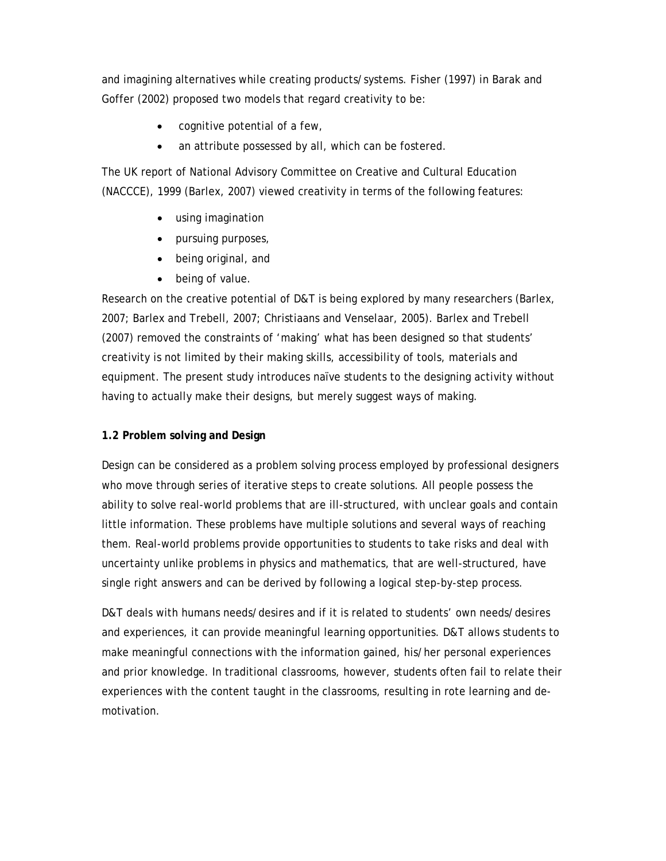and imagining alternatives while creating products/systems. Fisher (1997) in Barak and Goffer (2002) proposed two models that regard creativity to be:

- cognitive potential of a few,
- an attribute possessed by all, which can be fostered.

The UK report of National Advisory Committee on Creative and Cultural Education (NACCCE), 1999 (Barlex, 2007) viewed creativity in terms of the following features:

- using imagination
- pursuing purposes,
- being original, and
- being of value.

Research on the creative potential of D&T is being explored by many researchers (Barlex, 2007; Barlex and Trebell, 2007; Christiaans and Venselaar, 2005). Barlex and Trebell (2007) removed the constraints of 'making' what has been designed so that students' creativity is not limited by their making skills, accessibility of tools, materials and equipment. The present study introduces naïve students to the designing activity without having to actually make their designs, but merely suggest ways of making.

#### **1.2 Problem solving and Design**

Design can be considered as a problem solving process employed by professional designers who move through series of iterative steps to create solutions. All people possess the ability to solve real-world problems that are ill-structured, with unclear goals and contain little information. These problems have multiple solutions and several ways of reaching them. Real-world problems provide opportunities to students to take risks and deal with uncertainty unlike problems in physics and mathematics, that are well-structured, have single right answers and can be derived by following a logical step-by-step process.

D&T deals with humans needs/desires and if it is related to students' own needs/desires and experiences, it can provide meaningful learning opportunities. D&T allows students to make meaningful connections with the information gained, his/her personal experiences and prior knowledge. In traditional classrooms, however, students often fail to relate their experiences with the content taught in the classrooms, resulting in rote learning and demotivation.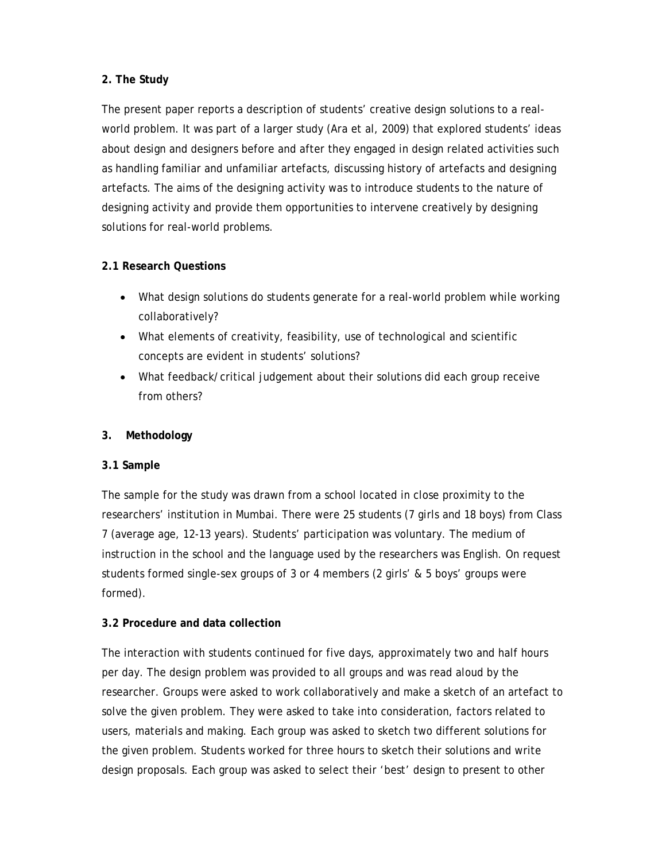### **2. The Study**

The present paper reports a description of students' creative design solutions to a realworld problem. It was part of a larger study (Ara et al, 2009) that explored students' ideas about design and designers before and after they engaged in design related activities such as handling familiar and unfamiliar artefacts, discussing history of artefacts and designing artefacts. The aims of the designing activity was to introduce students to the nature of designing activity and provide them opportunities to intervene creatively by designing solutions for real-world problems.

## **2.1 Research Questions**

- What design solutions do students generate for a real-world problem while working collaboratively?
- What elements of creativity, feasibility, use of technological and scientific concepts are evident in students' solutions?
- What feedback/critical judgement about their solutions did each group receive from others?

### **3. Methodology**

#### **3.1 Sample**

The sample for the study was drawn from a school located in close proximity to the researchers' institution in Mumbai. There were 25 students (7 girls and 18 boys) from Class 7 (average age, 12-13 years). Students' participation was voluntary. The medium of instruction in the school and the language used by the researchers was English. On request students formed single-sex groups of 3 or 4 members (2 girls' & 5 boys' groups were formed).

#### **3.2 Procedure and data collection**

The interaction with students continued for five days, approximately two and half hours per day. The design problem was provided to all groups and was read aloud by the researcher. Groups were asked to work collaboratively and make a sketch of an artefact to solve the given problem. They were asked to take into consideration, factors related to users, materials and making. Each group was asked to sketch two different solutions for the given problem. Students worked for three hours to sketch their solutions and write design proposals. Each group was asked to select their 'best' design to present to other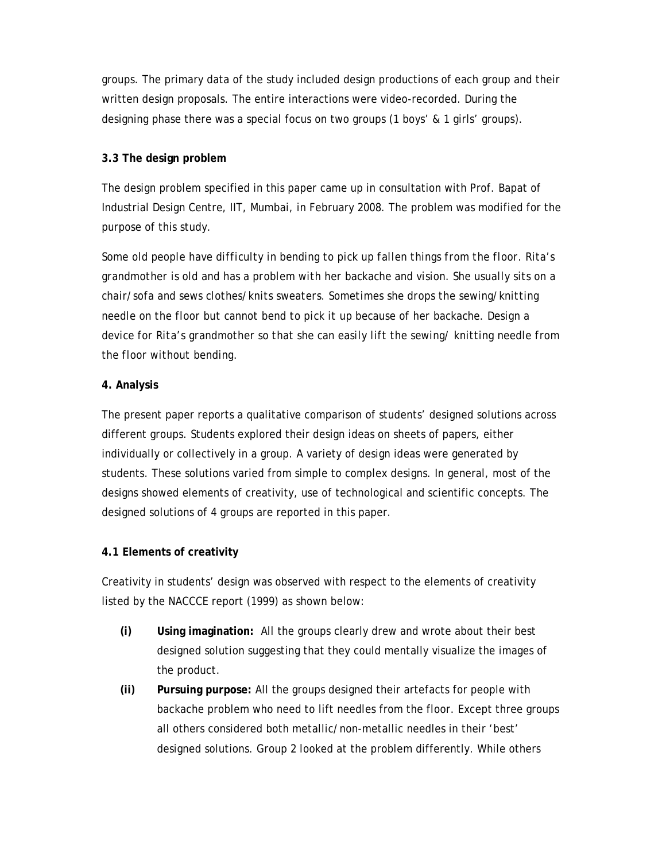groups. The primary data of the study included design productions of each group and their written design proposals. The entire interactions were video-recorded. During the designing phase there was a special focus on two groups (1 boys' & 1 girls' groups).

### **3.3 The design problem**

The design problem specified in this paper came up in consultation with Prof. Bapat of Industrial Design Centre, IIT, Mumbai, in February 2008. The problem was modified for the purpose of this study.

*Some old people have difficulty in bending to pick up fallen things from the floor. Rita's grandmother is old and has a problem with her backache and vision. She usually sits on a chair/sofa and sews clothes/knits sweaters. Sometimes she drops the sewing/knitting needle on the floor but cannot bend to pick it up because of her backache. Design a device for Rita's grandmother so that she can easily lift the sewing/ knitting needle from the floor without bending.* 

#### **4. Analysis**

The present paper reports a qualitative comparison of students' designed solutions across different groups. Students explored their design ideas on sheets of papers, either individually or collectively in a group. A variety of design ideas were generated by students. These solutions varied from simple to complex designs. In general, most of the designs showed elements of creativity, use of technological and scientific concepts. The designed solutions of 4 groups are reported in this paper.

## **4.1 Elements of creativity**

Creativity in students' design was observed with respect to the elements of creativity listed by the NACCCE report (1999) as shown below:

- **(i) Using imagination:** All the groups clearly drew and wrote about their best designed solution suggesting that they could mentally visualize the images of the product.
- **(ii) Pursuing purpose:** All the groups designed their artefacts for people with backache problem who need to lift needles from the floor. Except three groups all others considered both metallic/non-metallic needles in their 'best' designed solutions. Group 2 looked at the problem differently. While others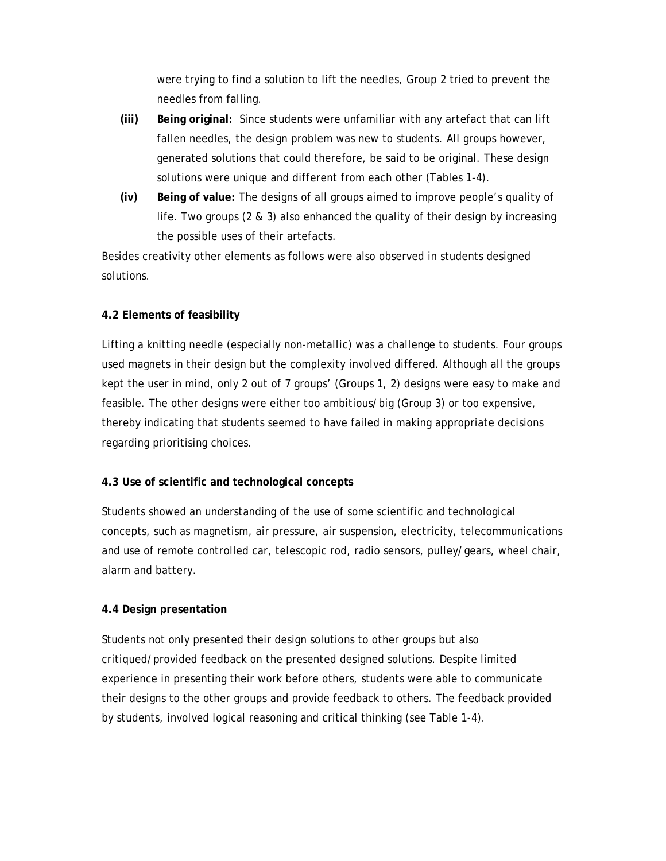were trying to find a solution to lift the needles, Group 2 tried to prevent the needles from falling.

- **(iii) Being original:** Since students were unfamiliar with any artefact that can lift fallen needles, the design problem was new to students. All groups however, generated solutions that could therefore, be said to be original. These design solutions were unique and different from each other (Tables 1-4).
- **(iv) Being of value:** The designs of all groups aimed to improve people's quality of life. Two groups (2 & 3) also enhanced the quality of their design by increasing the possible uses of their artefacts.

Besides creativity other elements as follows were also observed in students designed solutions.

#### **4.2 Elements of feasibility**

Lifting a knitting needle (especially non-metallic) was a challenge to students. Four groups used magnets in their design but the complexity involved differed. Although all the groups kept the user in mind, only 2 out of 7 groups' (Groups 1, 2) designs were easy to make and feasible. The other designs were either too ambitious/big (Group 3) or too expensive, thereby indicating that students seemed to have failed in making appropriate decisions regarding prioritising choices.

#### **4.3 Use of scientific and technological concepts**

Students showed an understanding of the use of some scientific and technological concepts, such as magnetism, air pressure, air suspension, electricity, telecommunications and use of remote controlled car, telescopic rod, radio sensors, pulley/gears, wheel chair, alarm and battery.

## **4.4 Design presentation**

Students not only presented their design solutions to other groups but also critiqued/provided feedback on the presented designed solutions. Despite limited experience in presenting their work before others, students were able to communicate their designs to the other groups and provide feedback to others. The feedback provided by students, involved logical reasoning and critical thinking (see Table 1-4).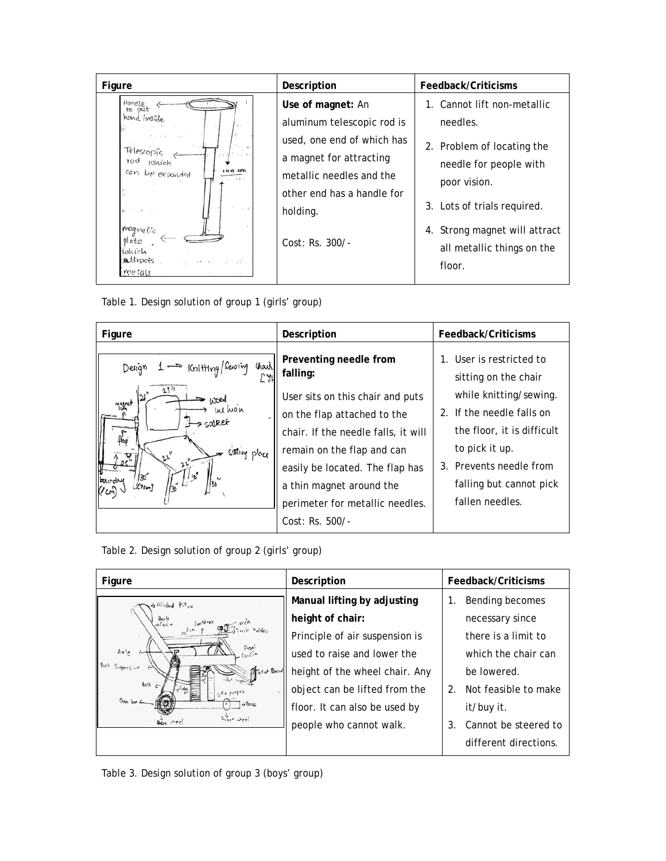| Figure                                                                                                                                                                                  | Description                                                                                                                                                                                         | Feedback/Criticisms                                                                                                                                                                                                     |
|-----------------------------------------------------------------------------------------------------------------------------------------------------------------------------------------|-----------------------------------------------------------------------------------------------------------------------------------------------------------------------------------------------------|-------------------------------------------------------------------------------------------------------------------------------------------------------------------------------------------------------------------------|
| Hondle<br>put<br>hond inside<br>$\sim$ 1.<br>1.141<br>Telescopic<br>rod<br>Lohich<br>can be exponded<br>at the arms<br>magnetic<br>plate<br>which<br>attracts<br>u eraf unt⊅a<br>metals | Use of magnet: An<br>aluminum telescopic rod is<br>used, one end of which has<br>a magnet for attracting<br>metallic needles and the<br>other end has a handle for<br>holding.<br>$Cost: Rs. 300/-$ | 1. Cannot lift non-metallic<br>needles.<br>2. Problem of locating the<br>needle for people with<br>poor vision.<br>3. Lots of trials required.<br>4. Strong magnet will attract<br>all metallic things on the<br>floor. |

Table 1. Design solution of group 1 (girls' group)

| Figure                                                                                     | Description                                                                                                                                                                                                                                                                                       | Feedback/Criticisms                                                                                                                                                                                                           |
|--------------------------------------------------------------------------------------------|---------------------------------------------------------------------------------------------------------------------------------------------------------------------------------------------------------------------------------------------------------------------------------------------------|-------------------------------------------------------------------------------------------------------------------------------------------------------------------------------------------------------------------------------|
| Chart<br>Forthing (Sewing<br>Design 1<br>25<br>$h$ 00d<br>maine<br>ua won<br>sulling place | Preventing needle from<br>falling:<br>User sits on this chair and puts<br>on the flap attached to the<br>chair. If the needle falls, it will<br>remain on the flap and can<br>easily be located. The flap has<br>a thin magnet around the<br>perimeter for metallic needles.<br>$Cost: Rs. 500/-$ | User is restricted to<br>sitting on the chair<br>while knitting/sewing.<br>2. If the needle falls on<br>the floor, it is difficult<br>to pick it up.<br>3. Prevents needle from<br>falling but cannot pick<br>fallen needles. |

Table 2. Design solution of group 2 (girls' group)

| Figure                             | Description                    | Feedback/Criticisms                           |
|------------------------------------|--------------------------------|-----------------------------------------------|
| > Alloched Pillow                  | Manual lifting by adjusting    | Bending becomes<br>1.                         |
| Bock<br>->Covi r                   | height of chair:               | necessary since                               |
|                                    | Principle of air suspension is | there is a limit to                           |
| contin<br>Frani<br>Axle            | used to raise and lower the    | which the chair can                           |
| Suspertion<br>Fast Board           | height of the wheel chair. Any | be lowered.                                   |
| det A<br>Aric parper               | object can be lifted from the  | $\mathcal{P}_{\cdot}$<br>Not feasible to make |
| Over jour 6<br>33004               | floor. It can also be used by  | it/buy it.                                    |
| $F_{\text{rot}}$ wheel<br>Den reel | people who cannot walk.        | Cannot be steered to<br>3.                    |
|                                    |                                | different directions.                         |

Table 3. Design solution of group 3 (boys' group)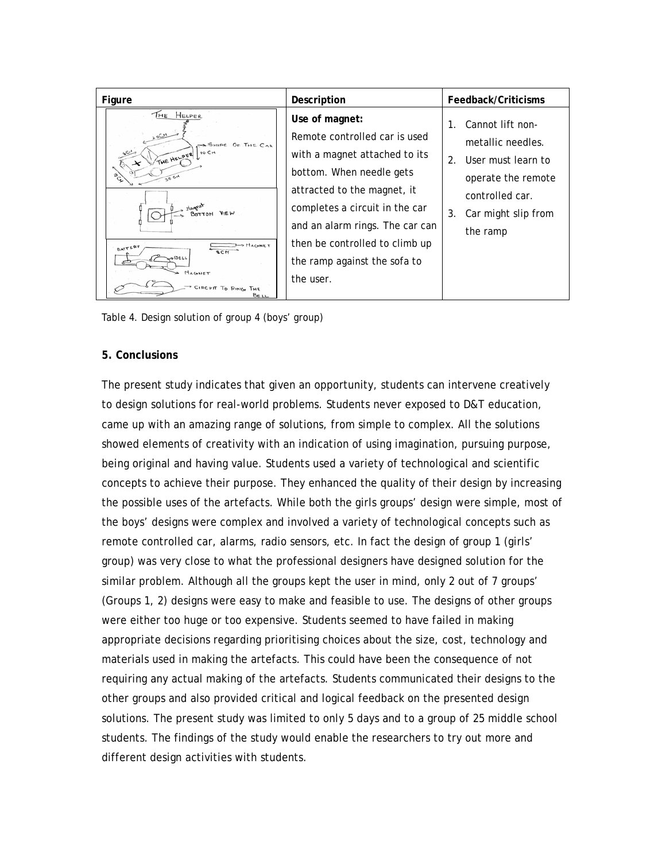| Figure                                                                                                                                                                                                | Description                                                                                                                                                                                                                                                                                     | Feedback/Criticisms                                                                                                                                       |
|-------------------------------------------------------------------------------------------------------------------------------------------------------------------------------------------------------|-------------------------------------------------------------------------------------------------------------------------------------------------------------------------------------------------------------------------------------------------------------------------------------------------|-----------------------------------------------------------------------------------------------------------------------------------------------------------|
| THE HELPER<br>20CH<br>SHAPE OF THE CAR<br>IO CH<br>يى<br>THE HELPER<br>$\boldsymbol{\mathsf{x}}$<br>SO CH<br><b>S MAGNET</b><br>BATTERY<br><b>SCM</b><br>BELL<br>MAGNET<br>CIRCUIT TO RING THE<br>Beu | Use of magnet:<br>Remote controlled car is used<br>with a magnet attached to its<br>bottom. When needle gets<br>attracted to the magnet, it<br>completes a circuit in the car<br>and an alarm rings. The car can<br>then be controlled to climb up<br>the ramp against the sofa to<br>the user. | Cannot lift non-<br>1.<br>metallic needles.<br>User must learn to<br>2.<br>operate the remote<br>controlled car.<br>3.<br>Car might slip from<br>the ramp |

Table 4. Design solution of group 4 (boys' group)

#### **5. Conclusions**

The present study indicates that given an opportunity, students can intervene creatively to design solutions for real-world problems. Students never exposed to D&T education, came up with an amazing range of solutions, from simple to complex. All the solutions showed elements of creativity with an indication of using imagination, pursuing purpose, being original and having value. Students used a variety of technological and scientific concepts to achieve their purpose. They enhanced the quality of their design by increasing the possible uses of the artefacts. While both the girls groups' design were simple, most of the boys' designs were complex and involved a variety of technological concepts such as remote controlled car, alarms, radio sensors, etc. In fact the design of group 1 (girls' group) was very close to what the professional designers have designed solution for the similar problem. Although all the groups kept the user in mind, only 2 out of 7 groups' (Groups 1, 2) designs were easy to make and feasible to use. The designs of other groups were either too huge or too expensive. Students seemed to have failed in making appropriate decisions regarding prioritising choices about the size, cost, technology and materials used in making the artefacts. This could have been the consequence of not requiring any actual making of the artefacts. Students communicated their designs to the other groups and also provided critical and logical feedback on the presented design solutions. The present study was limited to only 5 days and to a group of 25 middle school students. The findings of the study would enable the researchers to try out more and different design activities with students.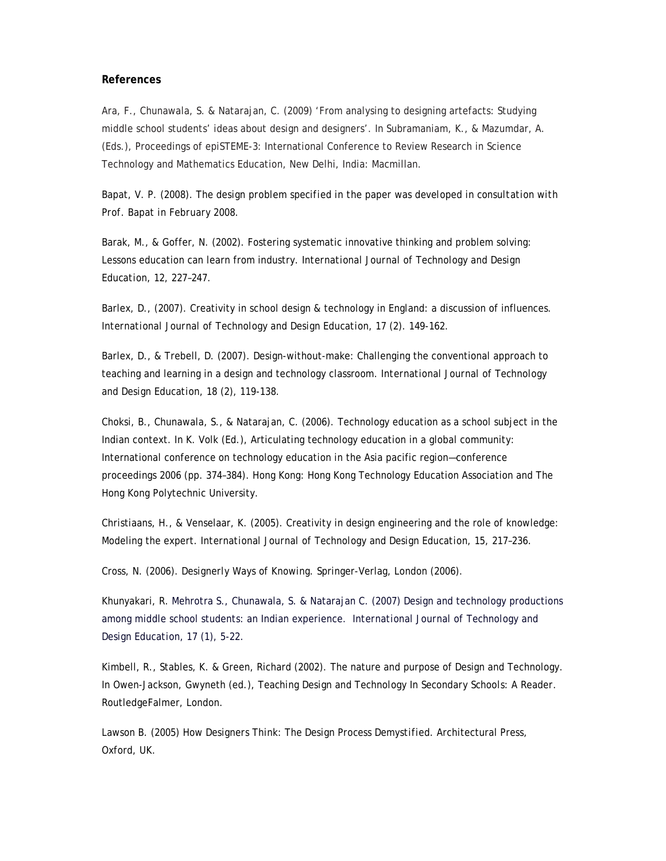#### **References**

Ara, F., Chunawala, S. & Natarajan, C. (2009) 'From analysing to designing artefacts: Studying middle school students' ideas about design and designers'. In Subramaniam, K., & Mazumdar, A. (Eds.), Proceedings of epiSTEME-3: International Conference to Review Research in Science Technology and Mathematics Education, New Delhi, India: Macmillan.

Bapat, V. P. (2008). *The design problem specified in the paper was developed in consultation with Prof. Bapat in February 2008.* 

Barak, M., & Goffer, N. (2002). Fostering systematic innovative thinking and problem solving: Lessons education can learn from industry. *International Journal of Technology and Design Education, 12*, 227–247.

Barlex, D., (2007). Creativity in school design & technology in England: a discussion of influences. *International Journal of Technology and Design Education*, 17 (2). 149-162.

Barlex, D., & Trebell, D. (2007). Design-without-make: Challenging the conventional approach to teaching and learning in a design and technology classroom. *International Journal of Technology and Design Education*, 18 (2), 119-138.

Choksi, B., Chunawala, S., & Natarajan, C. (2006). Technology education as a school subject in the Indian context. In K. Volk (Ed.), Articulating technology education in a global community: International conference on technology education in the Asia pacific region—conference proceedings 2006 (pp. 374–384). Hong Kong: Hong Kong Technology Education Association and The Hong Kong Polytechnic University.

Christiaans, H., & Venselaar, K. (2005). Creativity in design engineering and the role of knowledge: Modeling the expert. *International Journal of Technology and Design Education, 15*, 217–236.

Cross, N. (2006). *Designerly Ways of Knowing.* Springer-Verlag, London (2006).

Khunyakari, R. Mehrotra S., Chunawala, S. & Natarajan C. (2007) Design and technology productions among middle school students: an Indian experience. *International Journal of Technology and Design Education, 17* (1), 5-22.

Kimbell, R., Stables, K. & Green, Richard (2002). The nature and purpose of Design and Technology. In Owen-Jackson, Gwyneth (ed.), *Teaching Design and Technology In Secondary Schools: A Reader.* RoutledgeFalmer, London.

Lawson B. (2005) *How Designers Think: The Design Process Demystified.* Architectural Press, Oxford, UK.